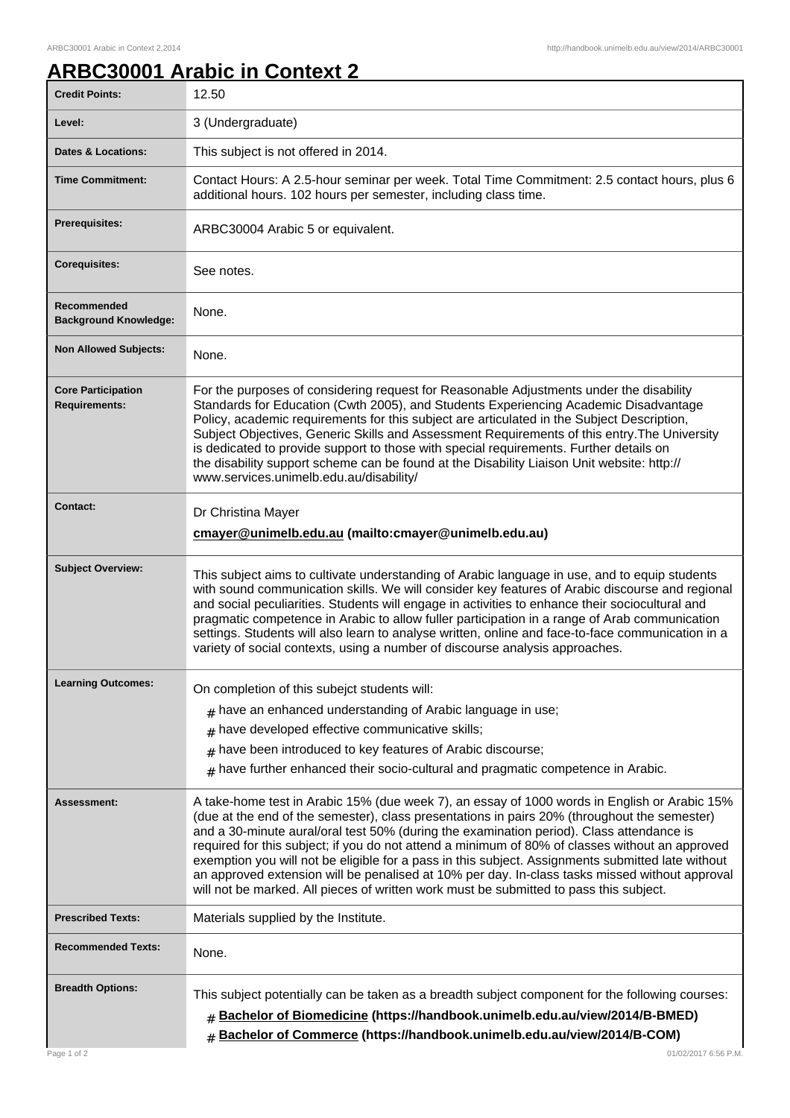## **ARBC30001 Arabic in Context 2**

| <b>Credit Points:</b>                             | 12.50                                                                                                                                                                                                                                                                                                                                                                                                                                                                                                                                                                                                                                                                                        |
|---------------------------------------------------|----------------------------------------------------------------------------------------------------------------------------------------------------------------------------------------------------------------------------------------------------------------------------------------------------------------------------------------------------------------------------------------------------------------------------------------------------------------------------------------------------------------------------------------------------------------------------------------------------------------------------------------------------------------------------------------------|
| Level:                                            | 3 (Undergraduate)                                                                                                                                                                                                                                                                                                                                                                                                                                                                                                                                                                                                                                                                            |
| <b>Dates &amp; Locations:</b>                     | This subject is not offered in 2014.                                                                                                                                                                                                                                                                                                                                                                                                                                                                                                                                                                                                                                                         |
| <b>Time Commitment:</b>                           | Contact Hours: A 2.5-hour seminar per week. Total Time Commitment: 2.5 contact hours, plus 6<br>additional hours. 102 hours per semester, including class time.                                                                                                                                                                                                                                                                                                                                                                                                                                                                                                                              |
| <b>Prerequisites:</b>                             | ARBC30004 Arabic 5 or equivalent.                                                                                                                                                                                                                                                                                                                                                                                                                                                                                                                                                                                                                                                            |
| <b>Corequisites:</b>                              | See notes.                                                                                                                                                                                                                                                                                                                                                                                                                                                                                                                                                                                                                                                                                   |
| Recommended<br><b>Background Knowledge:</b>       | None.                                                                                                                                                                                                                                                                                                                                                                                                                                                                                                                                                                                                                                                                                        |
| <b>Non Allowed Subjects:</b>                      | None.                                                                                                                                                                                                                                                                                                                                                                                                                                                                                                                                                                                                                                                                                        |
| <b>Core Participation</b><br><b>Requirements:</b> | For the purposes of considering request for Reasonable Adjustments under the disability<br>Standards for Education (Cwth 2005), and Students Experiencing Academic Disadvantage<br>Policy, academic requirements for this subject are articulated in the Subject Description,<br>Subject Objectives, Generic Skills and Assessment Requirements of this entry. The University<br>is dedicated to provide support to those with special requirements. Further details on<br>the disability support scheme can be found at the Disability Liaison Unit website: http://<br>www.services.unimelb.edu.au/disability/                                                                             |
| <b>Contact:</b>                                   | Dr Christina Mayer                                                                                                                                                                                                                                                                                                                                                                                                                                                                                                                                                                                                                                                                           |
|                                                   | cmayer@unimelb.edu.au (mailto:cmayer@unimelb.edu.au)                                                                                                                                                                                                                                                                                                                                                                                                                                                                                                                                                                                                                                         |
| <b>Subject Overview:</b>                          | This subject aims to cultivate understanding of Arabic language in use, and to equip students<br>with sound communication skills. We will consider key features of Arabic discourse and regional<br>and social peculiarities. Students will engage in activities to enhance their sociocultural and<br>pragmatic competence in Arabic to allow fuller participation in a range of Arab communication<br>settings. Students will also learn to analyse written, online and face-to-face communication in a<br>variety of social contexts, using a number of discourse analysis approaches.                                                                                                    |
| <b>Learning Outcomes:</b>                         | On completion of this subejct students will:                                                                                                                                                                                                                                                                                                                                                                                                                                                                                                                                                                                                                                                 |
|                                                   | $#$ have an enhanced understanding of Arabic language in use;                                                                                                                                                                                                                                                                                                                                                                                                                                                                                                                                                                                                                                |
|                                                   | have developed effective communicative skills;<br>#                                                                                                                                                                                                                                                                                                                                                                                                                                                                                                                                                                                                                                          |
|                                                   | have been introduced to key features of Arabic discourse;<br>#                                                                                                                                                                                                                                                                                                                                                                                                                                                                                                                                                                                                                               |
|                                                   | $#$ have further enhanced their socio-cultural and pragmatic competence in Arabic.                                                                                                                                                                                                                                                                                                                                                                                                                                                                                                                                                                                                           |
| Assessment:                                       | A take-home test in Arabic 15% (due week 7), an essay of 1000 words in English or Arabic 15%<br>(due at the end of the semester), class presentations in pairs 20% (throughout the semester)<br>and a 30-minute aural/oral test 50% (during the examination period). Class attendance is<br>required for this subject; if you do not attend a minimum of 80% of classes without an approved<br>exemption you will not be eligible for a pass in this subject. Assignments submitted late without<br>an approved extension will be penalised at 10% per day. In-class tasks missed without approval<br>will not be marked. All pieces of written work must be submitted to pass this subject. |
| <b>Prescribed Texts:</b>                          | Materials supplied by the Institute.                                                                                                                                                                                                                                                                                                                                                                                                                                                                                                                                                                                                                                                         |
| <b>Recommended Texts:</b>                         | None.                                                                                                                                                                                                                                                                                                                                                                                                                                                                                                                                                                                                                                                                                        |
| <b>Breadth Options:</b><br>Page 1 of 2            | This subject potentially can be taken as a breadth subject component for the following courses:<br># Bachelor of Biomedicine (https://handbook.unimelb.edu.au/view/2014/B-BMED)<br># Bachelor of Commerce (https://handbook.unimelb.edu.au/view/2014/B-COM)<br>01/02/2017 6:56 P.M.                                                                                                                                                                                                                                                                                                                                                                                                          |